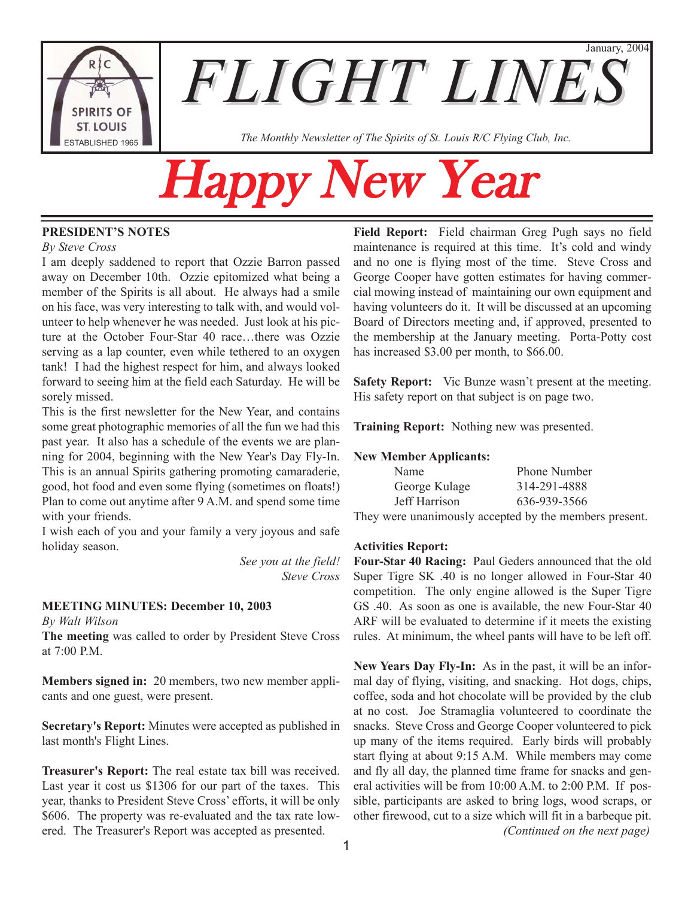

**The Monthly Newsletter of The Spirits of St. Louis R/C Flying Club, Inc.** The Monthly Newsletter of The Spirits of St. Louis R/C Flying Club, Inc.

# ppy New Year

#### **PRESIDENT'S NOTES**

#### *By Steve Cross*

I am deeply saddened to report that Ozzie Barron passed away on December 10th. Ozzie epitomized what being a member of the Spirits is all about. He always had a smile on his face, was very interesting to talk with, and would volunteer to help whenever he was needed. Just look at his picture at the October Four-Star 40 race…there was Ozzie serving as a lap counter, even while tethered to an oxygen tank! I had the highest respect for him, and always looked forward to seeing him at the field each Saturday. He will be sorely missed.

This is the first newsletter for the New Year, and contains some great photographic memories of all the fun we had this past year. It also has a schedule of the events we are planning for 2004, beginning with the New Year's Day Fly-In. This is an annual Spirits gathering promoting camaraderie, good, hot food and even some flying (sometimes on floats!) Plan to come out anytime after 9 A.M. and spend some time with your friends.

I wish each of you and your family a very joyous and safe holiday season.

> *See you at the field! Steve Cross*

#### **MEETING MINUTES: December 10, 2003**

*By Walt Wilson*

**The meeting** was called to order by President Steve Cross at 7:00 P.M.

**Members signed in:** 20 members, two new member applicants and one guest, were present.

**Secretary's Report:** Minutes were accepted as published in last month's Flight Lines.

**Treasurer's Report:** The real estate tax bill was received. Last year it cost us \$1306 for our part of the taxes. This year, thanks to President Steve Cross' efforts, it will be only \$606. The property was re-evaluated and the tax rate lowered. The Treasurer's Report was accepted as presented.

**Field Report:** Field chairman Greg Pugh says no field maintenance is required at this time. It's cold and windy and no one is flying most of the time. Steve Cross and George Cooper have gotten estimates for having commercial mowing instead of maintaining our own equipment and having volunteers do it. It will be discussed at an upcoming Board of Directors meeting and, if approved, presented to the membership at the January meeting. Porta-Potty cost has increased \$3.00 per month, to \$66.00.

January, 2004

**Safety Report:** Vic Bunze wasn't present at the meeting. His safety report on that subject is on page two.

**Training Report:** Nothing new was presented.

#### **New Member Applicants:**

| Name          | <b>Phone Number</b> |
|---------------|---------------------|
| George Kulage | 314-291-4888        |
| Jeff Harrison | 636-939-3566        |

They were unanimously accepted by the members present.

#### **Activities Report:**

**Four-Star 40 Racing:** Paul Geders announced that the old Super Tigre SK .40 is no longer allowed in Four-Star 40 competition. The only engine allowed is the Super Tigre GS .40. As soon as one is available, the new Four-Star 40 ARF will be evaluated to determine if it meets the existing rules. At minimum, the wheel pants will have to be left off.

**New Years Day Fly-In:** As in the past, it will be an informal day of flying, visiting, and snacking. Hot dogs, chips, coffee, soda and hot chocolate will be provided by the club at no cost. Joe Stramaglia volunteered to coordinate the snacks. Steve Cross and George Cooper volunteered to pick up many of the items required. Early birds will probably start flying at about 9:15 A.M. While members may come and fly all day, the planned time frame for snacks and general activities will be from 10:00 A.M. to 2:00 P.M. If possible, participants are asked to bring logs, wood scraps, or other firewood, cut to a size which will fit in a barbeque pit. *(Continued on the next page)*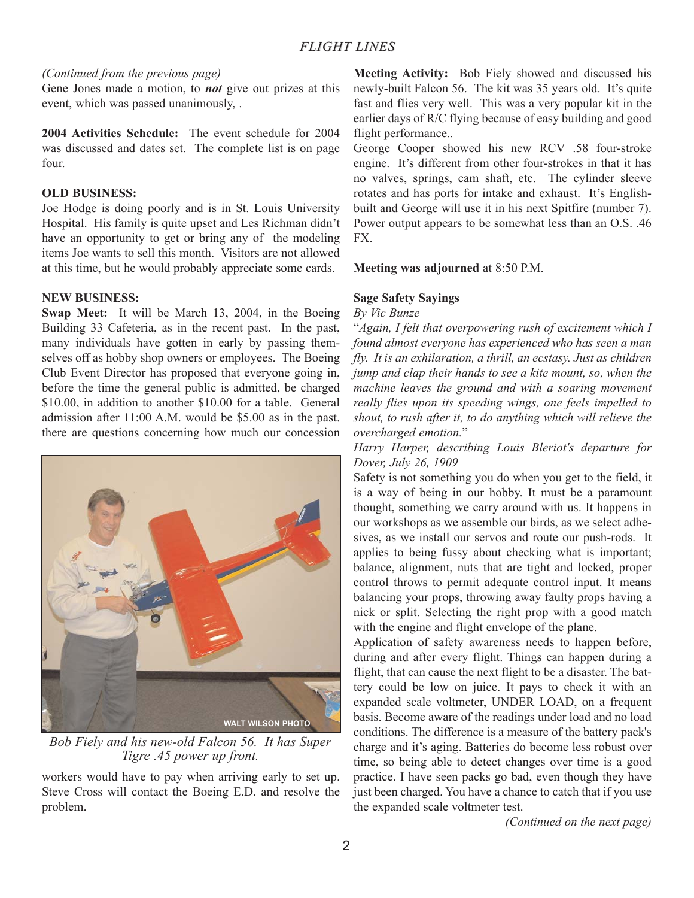#### *(Continued from the previous page)*

Gene Jones made a motion, to *not* give out prizes at this event, which was passed unanimously, .

**2004 Activities Schedule:** The event schedule for 2004 was discussed and dates set. The complete list is on page four.

#### **OLD BUSINESS:**

Joe Hodge is doing poorly and is in St. Louis University Hospital. His family is quite upset and Les Richman didn't have an opportunity to get or bring any of the modeling items Joe wants to sell this month. Visitors are not allowed at this time, but he would probably appreciate some cards.

#### **NEW BUSINESS:**

**Swap Meet:** It will be March 13, 2004, in the Boeing Building 33 Cafeteria, as in the recent past. In the past, many individuals have gotten in early by passing themselves off as hobby shop owners or employees. The Boeing Club Event Director has proposed that everyone going in, before the time the general public is admitted, be charged \$10.00, in addition to another \$10.00 for a table. General admission after 11:00 A.M. would be \$5.00 as in the past. there are questions concerning how much our concession



*Bob Fiely and his new-old Falcon 56. It has Super Tigre .45 power up front.*

workers would have to pay when arriving early to set up. Steve Cross will contact the Boeing E.D. and resolve the problem.

**Meeting Activity:** Bob Fiely showed and discussed his newly-built Falcon 56. The kit was 35 years old. It's quite fast and flies very well. This was a very popular kit in the earlier days of R/C flying because of easy building and good flight performance..

George Cooper showed his new RCV .58 four-stroke engine. It's different from other four-strokes in that it has no valves, springs, cam shaft, etc. The cylinder sleeve rotates and has ports for intake and exhaust. It's Englishbuilt and George will use it in his next Spitfire (number 7). Power output appears to be somewhat less than an O.S. .46 FX.

#### **Meeting was adjourned** at 8:50 P.M.

#### **Sage Safety Sayings**

#### *By Vic Bunze*

"*Again, I felt that overpowering rush of excitement which I found almost everyone has experienced who has seen a man fly. It is an exhilaration, a thrill, an ecstasy. Just as children jump and clap their hands to see a kite mount, so, when the machine leaves the ground and with a soaring movement really flies upon its speeding wings, one feels impelled to shout, to rush after it, to do anything which will relieve the overcharged emotion.*"

#### *Harry Harper, describing Louis Bleriot's departure for Dover, July 26, 1909*

Safety is not something you do when you get to the field, it is a way of being in our hobby. It must be a paramount thought, something we carry around with us. It happens in our workshops as we assemble our birds, as we select adhesives, as we install our servos and route our push-rods. It applies to being fussy about checking what is important; balance, alignment, nuts that are tight and locked, proper control throws to permit adequate control input. It means balancing your props, throwing away faulty props having a nick or split. Selecting the right prop with a good match with the engine and flight envelope of the plane.

Application of safety awareness needs to happen before, during and after every flight. Things can happen during a flight, that can cause the next flight to be a disaster. The battery could be low on juice. It pays to check it with an expanded scale voltmeter, UNDER LOAD, on a frequent basis. Become aware of the readings under load and no load conditions. The difference is a measure of the battery pack's charge and it's aging. Batteries do become less robust over time, so being able to detect changes over time is a good practice. I have seen packs go bad, even though they have just been charged. You have a chance to catch that if you use the expanded scale voltmeter test.

*(Continued on the next page)*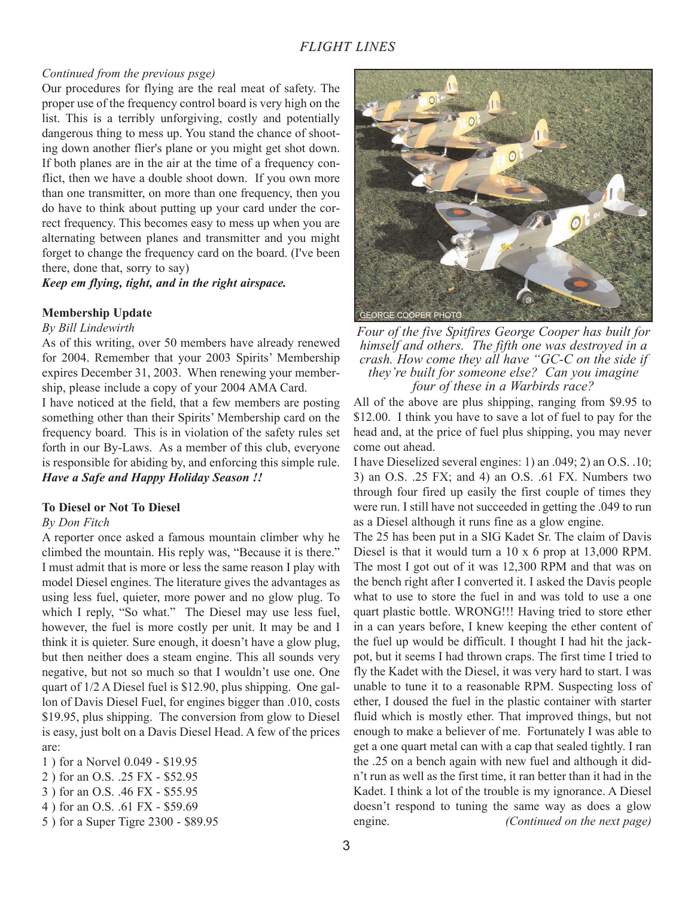#### *Continued from the previous psge)*

Our procedures for flying are the real meat of safety. The proper use of the frequency control board is very high on the list. This is a terribly unforgiving, costly and potentially dangerous thing to mess up. You stand the chance of shooting down another flier's plane or you might get shot down. If both planes are in the air at the time of a frequency conflict, then we have a double shoot down. If you own more than one transmitter, on more than one frequency, then you do have to think about putting up your card under the correct frequency. This becomes easy to mess up when you are alternating between planes and transmitter and you might forget to change the frequency card on the board. (I've been there, done that, sorry to say)

*Keep em flying, tight, and in the right airspace.*

#### **Membership Update**

#### *By Bill Lindewirth*

As of this writing, over 50 members have already renewed for 2004. Remember that your 2003 Spirits' Membership expires December 31, 2003. When renewing your membership, please include a copy of your 2004 AMA Card.

I have noticed at the field, that a few members are posting something other than their Spirits' Membership card on the frequency board. This is in violation of the safety rules set forth in our By-Laws. As a member of this club, everyone is responsible for abiding by, and enforcing this simple rule. *Have a Safe and Happy Holiday Season !!*

#### **To Diesel or Not To Diesel**

#### *By Don Fitch*

A reporter once asked a famous mountain climber why he climbed the mountain. His reply was, "Because it is there." I must admit that is more or less the same reason I play with model Diesel engines. The literature gives the advantages as using less fuel, quieter, more power and no glow plug. To which I reply, "So what." The Diesel may use less fuel, however, the fuel is more costly per unit. It may be and I think it is quieter. Sure enough, it doesn't have a glow plug, but then neither does a steam engine. This all sounds very negative, but not so much so that I wouldn't use one. One quart of 1/2 A Diesel fuel is \$12.90, plus shipping. One gallon of Davis Diesel Fuel, for engines bigger than .010, costs \$19.95, plus shipping. The conversion from glow to Diesel is easy, just bolt on a Davis Diesel Head. A few of the prices are:

- 1 ) for a Norvel 0.049 \$19.95
- 2 ) for an O.S. .25 FX \$52.95
- 3 ) for an O.S. .46 FX \$55.95
- 4 ) for an O.S. .61 FX \$59.69
- 5 ) for a Super Tigre 2300 \$89.95



*Four of the five Spitfires George Cooper has built for himself and others. The fifth one was destroyed in a crash. How come they all have "GC-C on the side if they're built for someone else? Can you imagine four of these in a Warbirds race?*

All of the above are plus shipping, ranging from \$9.95 to \$12.00. I think you have to save a lot of fuel to pay for the head and, at the price of fuel plus shipping, you may never come out ahead.

I have Dieselized several engines: 1) an .049; 2) an O.S. .10; 3) an O.S. .25 FX; and 4) an O.S. .61 FX. Numbers two through four fired up easily the first couple of times they were run. I still have not succeeded in getting the .049 to run as a Diesel although it runs fine as a glow engine.

The 25 has been put in a SIG Kadet Sr. The claim of Davis Diesel is that it would turn a 10 x 6 prop at 13,000 RPM. The most I got out of it was 12,300 RPM and that was on the bench right after I converted it. I asked the Davis people what to use to store the fuel in and was told to use a one quart plastic bottle. WRONG!!! Having tried to store ether in a can years before, I knew keeping the ether content of the fuel up would be difficult. I thought I had hit the jackpot, but it seems I had thrown craps. The first time I tried to fly the Kadet with the Diesel, it was very hard to start. I was unable to tune it to a reasonable RPM. Suspecting loss of ether, I doused the fuel in the plastic container with starter fluid which is mostly ether. That improved things, but not enough to make a believer of me. Fortunately I was able to get a one quart metal can with a cap that sealed tightly. I ran the .25 on a bench again with new fuel and although it didn't run as well as the first time, it ran better than it had in the Kadet. I think a lot of the trouble is my ignorance. A Diesel doesn't respond to tuning the same way as does a glow engine. *(Continued on the next page)*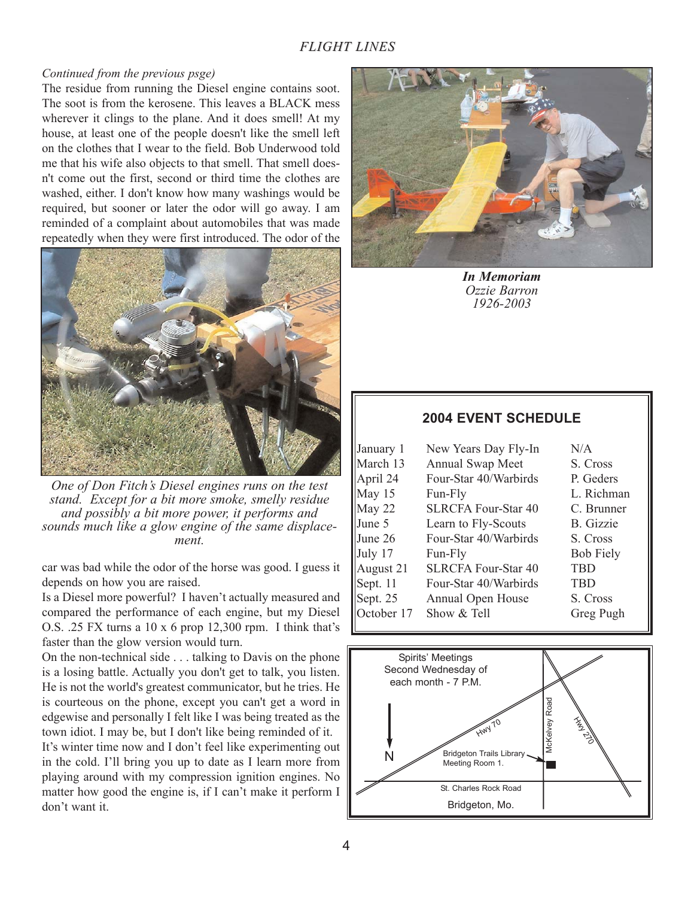#### *Continued from the previous psge)*

The residue from running the Diesel engine contains soot. The soot is from the kerosene. This leaves a BLACK mess wherever it clings to the plane. And it does smell! At my house, at least one of the people doesn't like the smell left on the clothes that I wear to the field. Bob Underwood told me that his wife also objects to that smell. That smell doesn't come out the first, second or third time the clothes are washed, either. I don't know how many washings would be required, but sooner or later the odor will go away. I am reminded of a complaint about automobiles that was made repeatedly when they were first introduced. The odor of the



*One of Don Fitch's Diesel engines runs on the test stand. Except for a bit more smoke, smelly residue and possibly a bit more power, it performs and sounds much like a glow engine of the same displacement.*

car was bad while the odor of the horse was good. I guess it depends on how you are raised.

Is a Diesel more powerful? I haven't actually measured and compared the performance of each engine, but my Diesel O.S. .25 FX turns a 10 x 6 prop 12,300 rpm. I think that's faster than the glow version would turn.

On the non-technical side . . . talking to Davis on the phone is a losing battle. Actually you don't get to talk, you listen. He is not the world's greatest communicator, but he tries. He is courteous on the phone, except you can't get a word in edgewise and personally I felt like I was being treated as the town idiot. I may be, but I don't like being reminded of it. It's winter time now and I don't feel like experimenting out in the cold. I'll bring you up to date as I learn more from playing around with my compression ignition engines. No matter how good the engine is, if I can't make it perform I don't want it.



*In Memoriam Ozzie Barron 1926-2003*

| January 1  | New Years Day Fly-In       | N/A              |
|------------|----------------------------|------------------|
| March 13   | Annual Swap Meet           | S. Cross         |
| April 24   | Four-Star 40/Warbirds      | P. Geders        |
| May 15     | Fun-Fly                    | L. Richman       |
| May 22     | <b>SLRCFA Four-Star 40</b> | C. Brunner       |
| June 5     | Learn to Fly-Scouts        | <b>B.</b> Gizzie |
| June 26    | Four-Star 40/Warbirds      | S Cross          |
| July 17    | Fun-Fly                    | <b>Bob Fiely</b> |
| August 21  | SLRCFA Four-Star 40        | <b>TBD</b>       |
| Sept. 11   | Four-Star 40/Warbirds      | <b>TBD</b>       |
| Sept. $25$ | Annual Open House          | S. Cross         |
|            | October 17 Show & Tell     | Greg Pugh        |

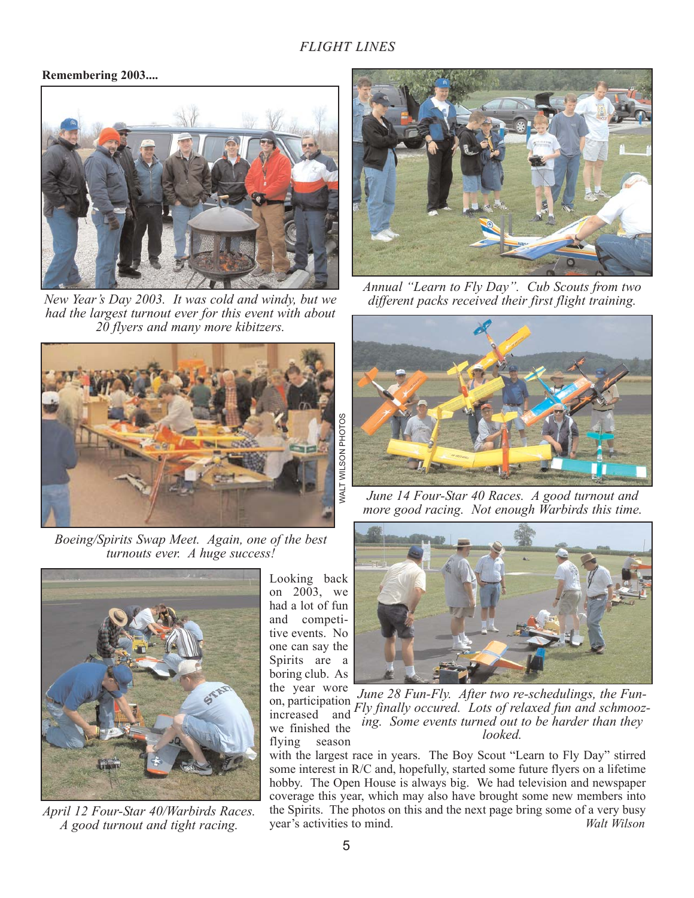#### **Remembering 2003....**



*New Year's Day 2003. It was cold and windy, but we had the largest turnout ever for this event with about 20 flyers and many more kibitzers.*



*Boeing/Spirits Swap Meet. Again, one of the best turnouts ever. A huge success!* 



*April 12 Four-Star 40/Warbirds Races. A good turnout and tight racing.*

Looking back on  $2003$ , we had a lot of fun and competitive events. No one can say the Spirits are a boring club. As the year wore on, participation increased and



*Annual "Learn to Fly Day". Cub Scouts from two different packs received their first flight training.*



*June 14 Four-Star 40 Races. A good turnout and more good racing. Not enough Warbirds this time.*



we finished the flying season *June 28 Fun-Fly. After two re-schedulings, the Fun-Fly finally occured. Lots of relaxed fun and schmoozing. Some events turned out to be harder than they looked.*

with the largest race in years. The Boy Scout "Learn to Fly Day" stirred some interest in R/C and, hopefully, started some future flyers on a lifetime hobby. The Open House is always big. We had television and newspaper coverage this year, which may also have brought some new members into the Spirits. The photos on this and the next page bring some of a very busy year's activities to mind. *Walt Wilson*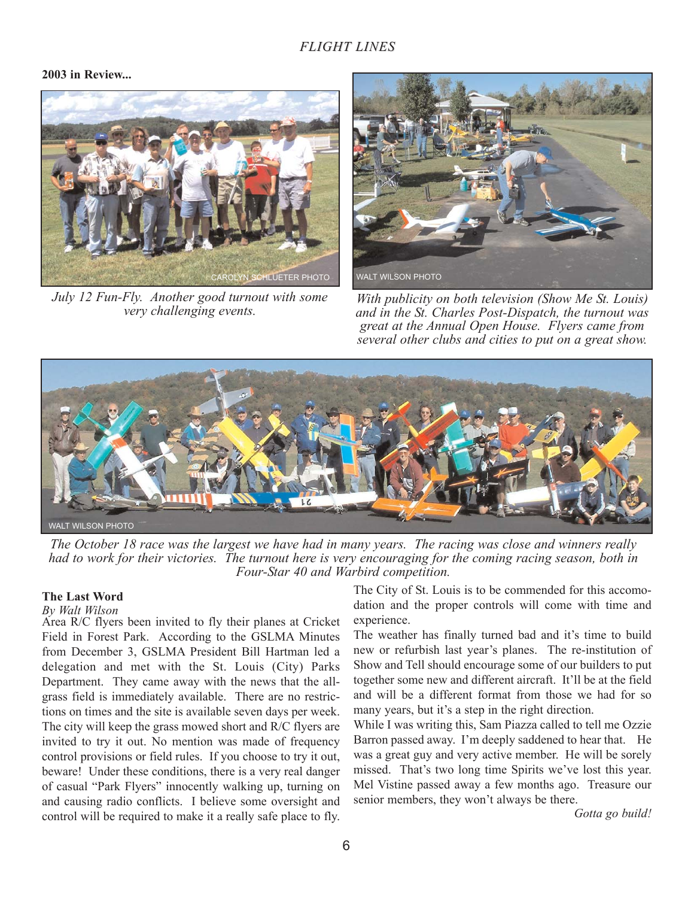#### **2003 in Review...**



*July 12 Fun-Fly. Another good turnout with some very challenging events.*



*With publicity on both television (Show Me St. Louis) and in the St. Charles Post-Dispatch, the turnout was great at the Annual Open House. Flyers came from several other clubs and cities to put on a great show.*



*The October 18 race was the largest we have had in many years. The racing was close and winners really had to work for their victories. The turnout here is very encouraging for the coming racing season, both in Four-Star 40 and Warbird competition.*

#### **The Last Word**

#### *By Walt Wilson*

Area R/C flyers been invited to fly their planes at Cricket Field in Forest Park. According to the GSLMA Minutes from December 3, GSLMA President Bill Hartman led a delegation and met with the St. Louis (City) Parks Department. They came away with the news that the allgrass field is immediately available. There are no restrictions on times and the site is available seven days per week. The city will keep the grass mowed short and R/C flyers are invited to try it out. No mention was made of frequency control provisions or field rules. If you choose to try it out, beware! Under these conditions, there is a very real danger of casual "Park Flyers" innocently walking up, turning on and causing radio conflicts. I believe some oversight and control will be required to make it a really safe place to fly.

The City of St. Louis is to be commended for this accomodation and the proper controls will come with time and experience.

The weather has finally turned bad and it's time to build new or refurbish last year's planes. The re-institution of Show and Tell should encourage some of our builders to put together some new and different aircraft. It'll be at the field and will be a different format from those we had for so many years, but it's a step in the right direction.

While I was writing this, Sam Piazza called to tell me Ozzie Barron passed away. I'm deeply saddened to hear that. He was a great guy and very active member. He will be sorely missed. That's two long time Spirits we've lost this year. Mel Vistine passed away a few months ago. Treasure our senior members, they won't always be there.

*Gotta go build!*